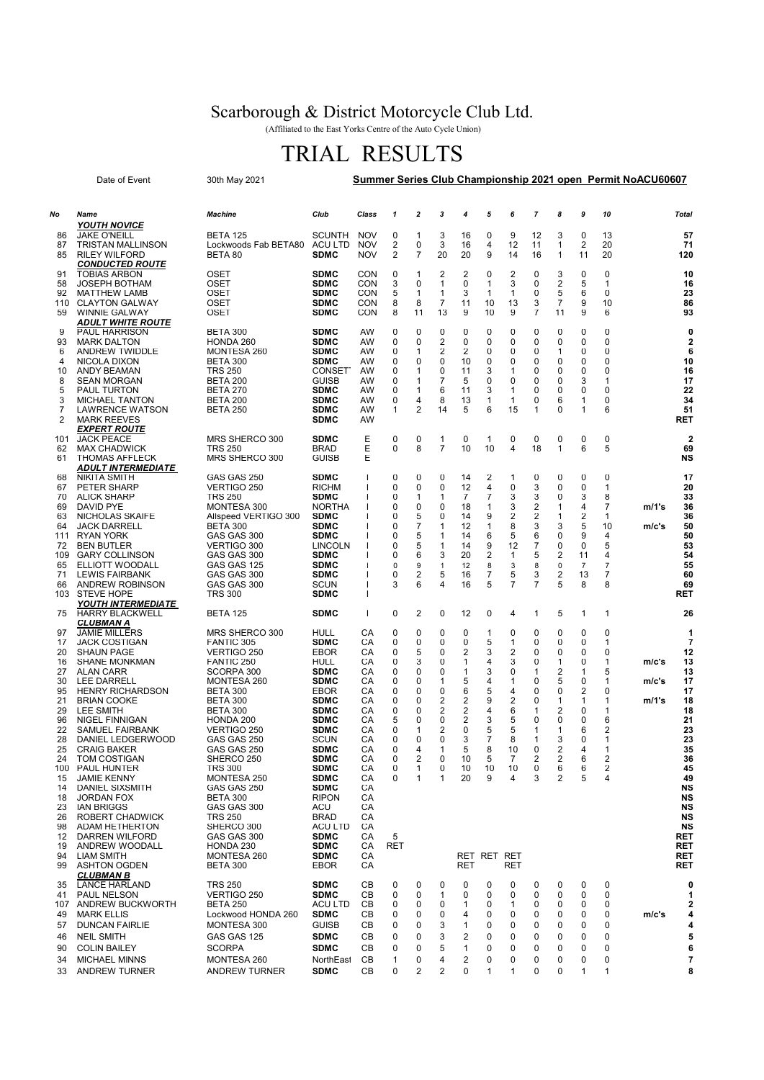## Scarborough & District Motorcycle Club Ltd.

(Affiliated to the East Yorks Centre of the Auto Cycle Union)

## TRIAL RESULTS

| Date of Event<br>30th May 2021 |                                                  |                                         |                                     | Summer Series Club Championship 2021 open Permit NoACU60607 |        |                     |                                  |                     |                     |              |                |                              |                      |              |       |                               |
|--------------------------------|--------------------------------------------------|-----------------------------------------|-------------------------------------|-------------------------------------------------------------|--------|---------------------|----------------------------------|---------------------|---------------------|--------------|----------------|------------------------------|----------------------|--------------|-------|-------------------------------|
|                                |                                                  |                                         |                                     |                                                             |        |                     |                                  |                     |                     |              |                |                              |                      |              |       |                               |
| No                             | Name<br><b>YOUTH NOVICE</b>                      | <b>Machine</b>                          | Club                                | Class                                                       | 1      | 2                   | 3                                | 4                   | 5                   | 6            | $\overline{7}$ | 8                            | 9                    | 10           |       | Total                         |
| 86                             | <b>JAKE O'NEILL</b>                              | <b>BETA 125</b>                         | <b>SCUNTH</b>                       | <b>NOV</b>                                                  | 0      | 1                   | 3                                | 16                  | 0                   | 9            | 12             | 3                            | 0                    | 13           |       | 57                            |
| 87<br>85                       | <b>TRISTAN MALLINSON</b><br><b>RILEY WILFORD</b> | Lockwoods Fab BETA80 ACU LTD<br>BETA 80 | <b>SDMC</b>                         | <b>NOV</b><br><b>NOV</b>                                    | 2<br>2 | 0<br>7              | 3<br>20                          | 16<br>20            | 4<br>9              | 12<br>14     | 11<br>16       | 1<br>1                       | $\overline{2}$<br>11 | 20<br>20     |       | 71<br>120                     |
|                                | <b>CONDUCTED ROUTE</b>                           |                                         |                                     |                                                             |        |                     |                                  |                     |                     |              |                |                              |                      |              |       |                               |
| 91<br>58                       | <b>TOBIAS ARBON</b><br><b>JOSEPH BOTHAM</b>      | OSET<br>OSET                            | SDMC<br><b>SDMC</b>                 | <b>CON</b><br>CON                                           | 0<br>3 | 1<br>0              | 2<br>1                           | 2<br>0              | 0<br>1              | 2<br>3       | 0<br>0         | 3<br>$\overline{\mathbf{c}}$ | 0<br>5               | 0<br>1       |       | 10<br>16                      |
| 92                             | <b>MATTHEW LAMB</b>                              | OSET                                    | <b>SDMC</b>                         | <b>CON</b>                                                  | 5      | $\mathbf{1}$        | $\mathbf{1}$                     | 3                   | 1                   | $\mathbf{1}$ | 0              | 5                            | 6                    | 0            |       | 23                            |
| 110<br>59                      | <b>CLAYTON GALWAY</b><br><b>WINNIE GALWAY</b>    | <b>OSET</b><br>OSET                     | <b>SDMC</b><br><b>SDMC</b>          | CON<br>CON                                                  | 8<br>8 | 8<br>11             | 7<br>13                          | 11<br>9             | 10<br>10            | 13<br>9      | 3<br>7         | $\overline{7}$<br>11         | 9<br>9               | 10<br>6      |       | 86<br>93                      |
|                                | <b>ADULT WHITE ROUTE</b>                         |                                         |                                     |                                                             |        |                     |                                  |                     |                     |              |                |                              |                      |              |       |                               |
| 9                              | <b>PAUL HARRISON</b>                             | <b>BETA 300</b>                         | SDMC                                | <b>AW</b>                                                   | 0      | 0                   | 0                                | 0                   | 0                   | 0            | 0              | 0                            | 0                    | 0            |       | 0                             |
| 93<br>6                        | <b>MARK DALTON</b><br>ANDREW TWIDDLE             | HONDA 260<br>MONTESA 260                | <b>SDMC</b><br><b>SDMC</b>          | AW<br>AW                                                    | 0<br>0 | 0<br>1              | $\overline{2}$<br>$\overline{2}$ | 0<br>$\overline{2}$ | 0<br>0              | 0<br>0       | 0<br>0         | 0<br>1                       | 0<br>0               | 0<br>0       |       | $\overline{2}$<br>6           |
| 4                              | NICOLA DIXON                                     | <b>BETA 300</b>                         | <b>SDMC</b>                         | AW                                                          | 0      | 0                   | 0                                | 10                  | 0                   | 0            | 0              | 0                            | 0                    | 0            |       | 10                            |
| 10<br>8                        | ANDY BEAMAN<br>SEAN MORGAN                       | <b>TRS 250</b><br>BETA 200              | CONSET <sup>®</sup><br><b>GUISB</b> | AW<br>AW                                                    | 0<br>0 | 1<br>1              | 0<br>7                           | 11<br>5             | 3<br>0              | 1<br>0       | 0<br>0         | 0<br>0                       | 0<br>3               | 0<br>1       |       | 16<br>17                      |
| 5                              | PAUL TURTON                                      | <b>BETA 270</b>                         | SDMC                                | AW                                                          | 0      | 1                   | 6                                | 11                  | 3                   | 1            | 0              | 0                            | 0                    | 0            |       | 22                            |
| 3<br>7                         | <b>MICHAEL TANTON</b><br><b>LAWRENCE WATSON</b>  | <b>BETA 200</b><br><b>BETA 250</b>      | SDMC<br>SDMC                        | AW<br>AW                                                    | 0<br>1 | 4<br>$\overline{2}$ | 8<br>14                          | 13<br>5             | 1<br>6              | 1<br>15      | 0<br>1         | 6<br>0                       | 1<br>1               | 0<br>6       |       | 34<br>51                      |
| 2                              | <b>MARK REEVES</b>                               |                                         | <b>SDMC</b>                         | AW                                                          |        |                     |                                  |                     |                     |              |                |                              |                      |              |       | <b>RET</b>                    |
|                                | <i><b>EXPERT ROUTE</b></i>                       |                                         |                                     |                                                             |        |                     |                                  |                     |                     |              |                |                              |                      |              |       |                               |
| 101<br>62                      | <b>JACK PEACE</b><br><b>MAX CHADWICK</b>         | MRS SHERCO 300<br><b>TRS 250</b>        | <b>SDMC</b><br><b>BRAD</b>          | Е<br>Е                                                      | 0<br>0 | 0<br>8              | 1<br>7                           | 0<br>10             | 1<br>10             | 0<br>4       | 0<br>18        | 0<br>1                       | 0<br>6               | 0<br>5       |       | $\overline{\mathbf{2}}$<br>69 |
| 61                             | <b>THOMAS AFFLECK</b>                            | MRS SHERCO 300                          | <b>GUISB</b>                        | Ε                                                           |        |                     |                                  |                     |                     |              |                |                              |                      |              |       | NS                            |
| 68                             | <i>ADULT INTERMEDIATE</i><br><b>NIKITA SMITH</b> | GAS GAS 250                             | SDMC                                | ı                                                           | 0      | 0                   | 0                                | 14                  | 2                   | 1            | 0              | 0                            | 0                    | 0            |       | 17                            |
| 67                             | PETER SHARP                                      | VERTIGO 250                             | <b>RICHM</b>                        | J.                                                          | 0      | 0                   | 0                                | 12                  | 4                   | 0            | 3              | 0                            | 0                    | $\mathbf{1}$ |       | 20                            |
| 70                             | <b>ALICK SHARP</b>                               | <b>TRS 250</b><br><b>MONTESA 300</b>    | <b>SDMC</b>                         |                                                             | 0      | 1                   | 1                                | 7                   | 7                   | 3            | 3              | 0<br>1                       | 3                    | 8            |       | 33                            |
| 69<br>63                       | DAVID PYE<br>NICHOLAS SKAIFE                     | Allspeed VERTIGO 300                    | <b>NORTHA</b><br><b>SDMC</b>        |                                                             | 0<br>0 | 0<br>5              | 0<br>0                           | 18<br>14            | 1<br>9              | 3<br>2       | 2<br>2         | 1                            | 4<br>2               | 7<br>1       | m/1's | 36<br>36                      |
| 64                             | <b>JACK DARRELL</b>                              | <b>BETA 300</b>                         | SDMC                                |                                                             | 0      | 7                   | 1                                | 12                  | 1                   | 8            | 3              | 3                            | 5                    | 10           | m/c's | 50                            |
| 111<br>72                      | RYAN YORK<br><b>BEN BUTLER</b>                   | GAS GAS 300<br>VERTIGO 300              | SDMC<br><b>LINCOLN</b>              |                                                             | 0<br>0 | 5<br>5              | 1<br>1                           | 14<br>14            | 6<br>9              | 5<br>12      | 6<br>7         | 0<br>0                       | 9<br>0               | 4<br>5       |       | 50<br>53                      |
| 109                            | <b>GARY COLLINSON</b>                            | GAS GAS 300                             | <b>SDMC</b>                         |                                                             | 0      | 6                   | 3                                | 20                  | 2                   | 1            | 5              | 2                            | 11                   | 4            |       | 54                            |
| 65<br>71                       | ELLIOTT WOODALL<br><b>LEWIS FAIRBANK</b>         | GAS GAS 125<br>GAS GAS 300              | <b>SDMC</b><br><b>SDMC</b>          | H<br>ı                                                      | 0<br>0 | 9<br>$\overline{2}$ | $\mathbf{1}$<br>5                | 12<br>16            | 8<br>$\overline{7}$ | 3<br>5       | 8<br>3         | 0<br>2                       | $\overline{7}$<br>13 | 7<br>7       |       | 55<br>60                      |
| 66                             | ANDREW ROBINSON                                  | GAS GAS 300                             | <b>SCUN</b>                         | ı                                                           | 3      | 6                   | 4                                | 16                  | 5                   | 7            | 7              | 5                            | 8                    | 8            |       | 69                            |
| 103                            | <b>STEVE HOPE</b><br><b>YOUTH INTERMEDIATE</b>   | <b>TRS 300</b>                          | <b>SDMC</b>                         | ı                                                           |        |                     |                                  |                     |                     |              |                |                              |                      |              |       | RET                           |
| 75                             | <b>HARRY BLACKWELL</b>                           | <b>BETA 125</b>                         | <b>SDMC</b>                         | $\mathbf{I}$                                                | 0      | $\overline{2}$      | 0                                | 12                  | 0                   | 4            | 1              | 5                            | $\mathbf{1}$         | 1            |       | 26                            |
|                                | <u>CLUBMAN A</u>                                 |                                         |                                     |                                                             |        |                     | 0                                |                     |                     |              | 0              | 0                            | 0                    |              |       |                               |
| 97<br>17                       | <b>JAMIE MILLERS</b><br>JACK COSTIGAN            | MRS SHERCO 300<br>FANTIC 305            | HULL<br>SDMC                        | CА<br>CА                                                    | 0<br>0 | 0<br>0              | 0                                | 0<br>0              | 1<br>5              | 0<br>1       | 0              | 0                            | 0                    | 0<br>1       |       | 1<br>$\overline{7}$           |
| 20                             | <b>SHAUN PAGE</b>                                | VERTIGO 250                             | EBOR                                | CА                                                          | 0      | 5                   | 0                                | 2                   | 3                   | 2            | 0              | 0                            | 0                    | 0            |       | 12                            |
| 16<br>27                       | <b>SHANE MONKMAN</b><br><b>ALAN CARR</b>         | FANTIC 250<br>SCORPA 300                | HULL<br><b>SDMC</b>                 | CА<br>CА                                                    | 0<br>0 | 3<br>0              | 0<br>0                           | 1<br>1              | 4<br>3              | 3<br>0       | 0<br>1         | 1<br>2                       | 0<br>1               | 1<br>5       | m/c's | 13<br>13                      |
| 30                             | <b>LEE DARRELL</b>                               | MONTESA 260                             | SDMC                                | CА                                                          | 0      | 0                   | 1                                | 5                   | 4                   | 1            | 0              | 5                            | 0                    | 1            | m/c's | 17                            |
| 95<br>21                       | <b>HENRY RICHARDSON</b><br><b>BRIAN COOKE</b>    | BETA 300<br>BETA 300                    | EBOR<br>SDMC                        | CА<br>CА                                                    | 0<br>0 | 0<br>0              | 0<br>2                           | 6<br>2              | 5<br>9              | 4<br>2       | 0<br>0         | 0<br>1                       | 2<br>$\mathbf{1}$    | 0<br>1       | m/1's | 17<br>18                      |
| 29                             | LEE SMITH                                        | <b>BETA 300</b>                         | SDMC                                | CА                                                          | 0      | 0                   | 2                                | 2                   | 4                   | 6            | 1              | 2                            | 0                    | 1            |       | 18                            |
| 96<br>22                       | <b>NIGEL FINNIGAN</b>                            | HONDA 200                               | <b>SDMC</b><br><b>SDMC</b>          | CА<br>CА                                                    | 5<br>0 | 0<br>1              | 0<br>2                           | 2<br>0              | 3<br>5              | 5<br>5       | 0<br>1         | 0<br>1                       | 0<br>6               | 6<br>2       |       | 21<br>23                      |
| 28                             | SAMUEL FAIRBANK<br>DANIEL LEDGERWOOD             | VERTIGO 250<br>GAS GAS 250              | SCUN                                | CА                                                          | 0      | 0                   | 0                                | 3                   | 7                   | 8            | 1              | 3                            | 0                    | 1            |       | 23                            |
| 25                             | <b>CRAIG BAKER</b>                               | GAS GAS 250                             | <b>SDMC</b>                         | CА                                                          | 0      | 4                   | 1                                | 5                   | 8                   | 10           | 0              | 2                            | 4                    | 1            |       | 35                            |
| 24<br>100                      | <b>TOM COSTIGAN</b><br>PAUL HUNTER               | SHERCO 250<br><b>TRS 300</b>            | <b>SDMC</b><br><b>SDMC</b>          | CА<br>CА                                                    | 0<br>0 | 2<br>1              | 0<br>0                           | 10<br>10            | 5<br>10             | 7<br>10      | 2<br>0         | 2<br>6                       | 6<br>6               | 2<br>2       |       | 36<br>45                      |
| 15                             | <b>JAMIE KENNY</b>                               | MONTESA 250                             | <b>SDMC</b>                         | CА                                                          | 0      | 1                   | 1                                | 20                  | 9                   | 4            | 3              | 2                            | 5                    | 4            |       | 49                            |
| 14<br>18                       | <b>DANIEL SIXSMITH</b><br><b>JORDAN FOX</b>      | GAS GAS 250<br><b>BETA 300</b>          | <b>SDMC</b><br><b>RIPON</b>         | CА<br>CА                                                    |        |                     |                                  |                     |                     |              |                |                              |                      |              |       | NS<br><b>NS</b>               |
| 23                             | <b>IAN BRIGGS</b>                                | GAS GAS 300                             | ACU                                 | CА                                                          |        |                     |                                  |                     |                     |              |                |                              |                      |              |       | NS                            |
| 26<br>98                       | ROBERT CHADWICK<br>ADAM HETHERTON                | <b>TRS 250</b><br>SHERCO 300            | <b>BRAD</b><br>ACU LTD              | CА<br>СA                                                    |        |                     |                                  |                     |                     |              |                |                              |                      |              |       | <b>NS</b><br><b>NS</b>        |
| 12                             | <b>DARREN WILFORD</b>                            | GAS GAS 300                             | <b>SDMC</b>                         | CА                                                          | 5      |                     |                                  |                     |                     |              |                |                              |                      |              |       | RET                           |
| 19                             | ANDREW WOODALL                                   | HONDA 230                               | <b>SDMC</b>                         | СA                                                          | RET    |                     |                                  |                     |                     |              |                |                              |                      |              |       | RET                           |
| 94<br>99                       | LIAM SMITH<br><b>ASHTON OGDEN</b>                | MONTESA 260<br><b>BETA 300</b>          | <b>SDMC</b><br>EBOR                 | СA<br>CА                                                    |        |                     |                                  | RET RET RET<br>RET  |                     | RET          |                |                              |                      |              |       | RET<br><b>RET</b>             |
|                                | <b>CLUBMAN B</b>                                 |                                         |                                     |                                                             |        |                     |                                  |                     |                     |              |                |                              |                      |              |       |                               |
| 35<br>41                       | <b>LANCE HARLAND</b><br>PAUL NELSON              | <b>TRS 250</b><br>VERTIGO 250           | <b>SDMC</b><br><b>SDMC</b>          | CВ<br>CВ                                                    | 0<br>0 | 0<br>0              | 0<br>1                           | 0<br>0              | 0<br>0              | 0<br>0       | 0<br>0         | 0<br>0                       | 0<br>0               | 0<br>0       |       | 0<br>1                        |
|                                | 107 ANDREW BUCKWORTH                             | <b>BETA 250</b>                         | ACU LTD                             | CВ                                                          | 0      | 0                   | 0                                | 1                   | 0                   | 1            | 0              | 0                            | 0                    | 0            |       | 2                             |
| 49                             | <b>MARK ELLIS</b>                                | Lockwood HONDA 260                      | SDMC                                | CВ                                                          | 0      | 0                   | 0                                | 4                   | 0                   | 0            | 0              | 0                            | 0                    | 0            | m/c's | 4                             |
| 57<br>46                       | <b>DUNCAN FAIRLIE</b><br><b>NEIL SMITH</b>       | MONTESA 300<br>GAS GAS 125              | <b>GUISB</b><br><b>SDMC</b>         | СВ<br>CВ                                                    | 0<br>0 | 0<br>0              | 3<br>3                           | 1<br>2              | 0<br>0              | 0<br>0       | 0<br>0         | 0<br>0                       | 0<br>0               | 0<br>0       |       | 4<br>5                        |
| 90                             | <b>COLIN BAILEY</b>                              | <b>SCORPA</b>                           | <b>SDMC</b>                         | CВ                                                          | 0      | 0                   | 5                                | 1                   | 0                   | 0            | 0              | 0                            | 0                    | 0            |       | 6                             |
| 34                             | <b>MICHAEL MINNS</b>                             | MONTESA 260                             | NorthEast                           | CВ                                                          | 1      | 0                   | 4                                | 2                   | 0                   | 0            | 0              | 0                            | 0                    | 0            |       | $\overline{7}$                |
| 33                             | ANDREW TURNER                                    | <b>ANDREW TURNER</b>                    | <b>SDMC</b>                         | CВ                                                          | 0      | $\overline{2}$      | $\overline{2}$                   | 0                   | 1                   | 1            | 0              | 0                            | 1                    | 1            |       | 8                             |